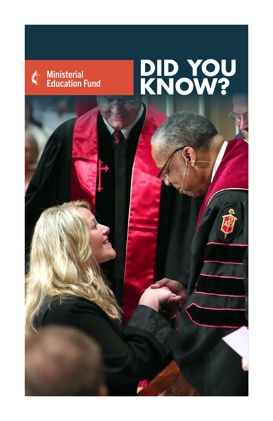## **Ministerial** d Education Fund

## **DID YOU**<br>KNOW?